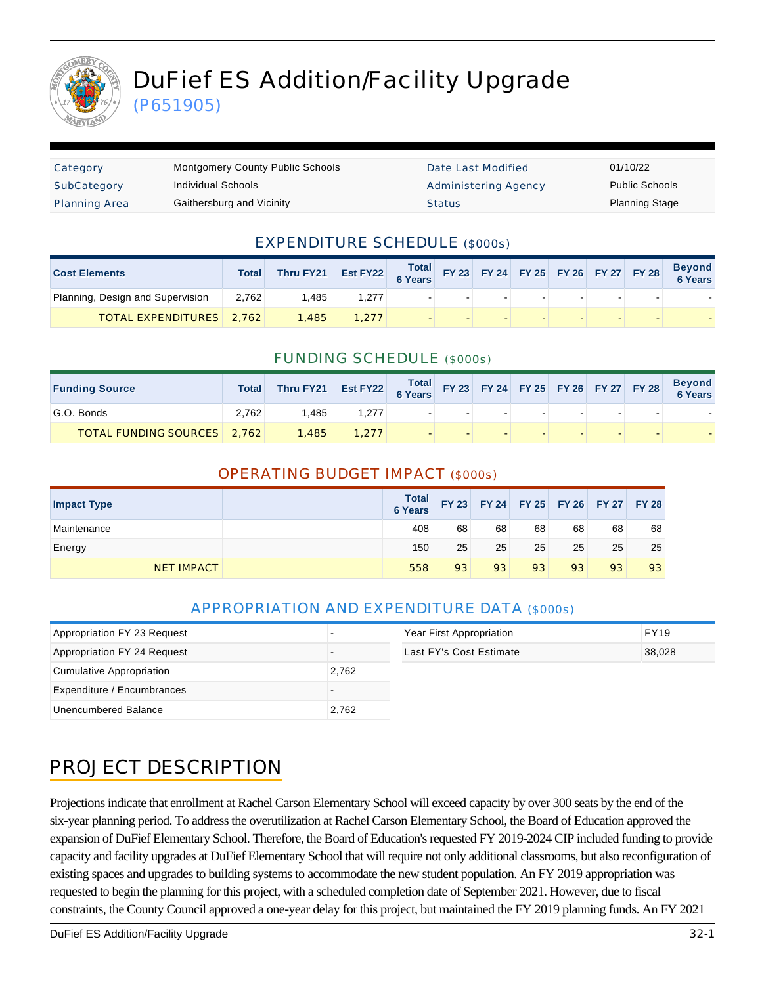

# DuFief ES Addition/Facility Upgrade

(P651905)

| Category             | <b>Montgomery County Public Schools</b> | Date Last Modified   | 01/10/22              |
|----------------------|-----------------------------------------|----------------------|-----------------------|
| SubCategory          | Individual Schools                      | Administering Agency | <b>Public Schools</b> |
| <b>Planning Area</b> | Gaithersburg and Vicinity               | <b>Status</b>        | <b>Planning Stage</b> |

### EXPENDITURE SCHEDULE (\$000s)

| <b>Cost Elements</b>             | Total | Thru FY21 | Est FY22 $\begin{array}{ c c c c c c }\n\hline\n\text{Total} & \text{FY 23} & \text{FY 24} & \text{FY 25} & \text{FY 26} & \text{FY 27} & \text{FY 28}\n\hline\n\end{array}$ |  |  |  | <b>Beyond</b><br>6 Years |
|----------------------------------|-------|-----------|------------------------------------------------------------------------------------------------------------------------------------------------------------------------------|--|--|--|--------------------------|
| Planning, Design and Supervision | 2.762 | .485      | 1.277                                                                                                                                                                        |  |  |  |                          |
| <b>TOTAL EXPENDITURES</b> 2,762  |       | 1,485     | 1.277                                                                                                                                                                        |  |  |  |                          |

#### FUNDING SCHEDULE (\$000s)

| <b>Funding Source</b>              | <b>Total</b> | Thru FY21 | Est FY22 Total FY 23 FY 24 FY 25 FY 26 FY 27 FY 28 |  |  |  | <b>Beyond</b><br>6 Years |
|------------------------------------|--------------|-----------|----------------------------------------------------|--|--|--|--------------------------|
| G.O. Bonds                         | 2.762        | .485      | 1.277                                              |  |  |  |                          |
| <b>TOTAL FUNDING SOURCES</b> 2.762 |              | 1,485     | 1.277                                              |  |  |  |                          |

#### OPERATING BUDGET IMPACT (\$000s)

| <b>Impact Type</b> | <b>Total</b><br>6 Years |    | FY 23 FY 24 FY 25 FY 26 FY 27 FY 28 |    |    |    |    |
|--------------------|-------------------------|----|-------------------------------------|----|----|----|----|
| Maintenance        | 408                     | 68 | 68                                  | 68 | 68 | 68 | 68 |
| Energy             | 150                     | 25 | 25                                  | 25 | 25 | 25 | 25 |
| <b>NET IMPACT</b>  | 558                     | 93 | 93                                  | 93 | 93 | 93 | 93 |

## APPROPRIATION AND EXPENDITURE DATA (\$000s)

| Appropriation FY 23 Request |       | Year First Appropriation | <b>FY19</b> |
|-----------------------------|-------|--------------------------|-------------|
| Appropriation FY 24 Request |       | Last FY's Cost Estimate  | 38,028      |
| Cumulative Appropriation    | 2.762 |                          |             |
| Expenditure / Encumbrances  |       |                          |             |
| Unencumbered Balance        | 2,762 |                          |             |

| Year First Appropriation | FY19   |
|--------------------------|--------|
| Last FY's Cost Estimate  | 38.028 |

# PROJECT DESCRIPTION

Projections indicate that enrollment at Rachel Carson Elementary School will exceed capacity by over 300 seats by the end of the six-year planning period. To address the overutilization at Rachel Carson Elementary School, the Board of Education approved the expansion of DuFief Elementary School. Therefore, the Board of Education's requested FY 2019-2024 CIP included funding to provide capacity and facility upgrades at DuFief Elementary School that will require not only additional classrooms, but also reconfiguration of existing spaces and upgrades to building systems to accommodate the new student population. An FY 2019 appropriation was requested to begin the planning for this project, with a scheduled completion date of September 2021. However, due to fiscal constraints, the County Council approved a one-year delay for this project, but maintained the FY 2019 planning funds. An FY 2021